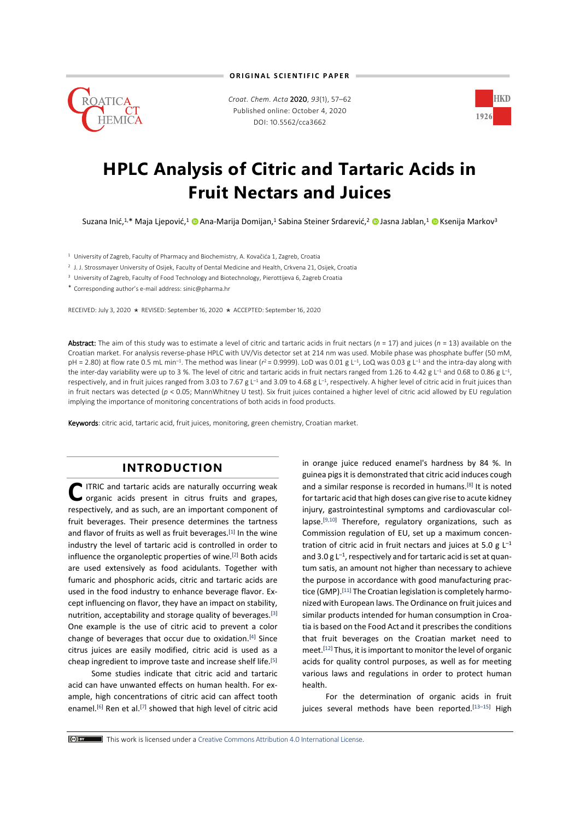**ORIGINAL SCIENTIFIC PAPER** 



*Croat. Chem. Acta* 2020, *93*(1), 57–62 Published online: October 4, 2020 DOI: 10.5562/cca3662



# **HPLC Analysis of Citric and Tartaric Acids in Fruit Nectars and Juices**

Suzana Inić,<sup>1,</sup>\* Maja Ljepović,<sup>1</sup> © Ana-Marija Domijan,<sup>1</sup> Sabina Steiner Srdarević,<sup>2</sup> © Jasna Jablan,<sup>1</sup> © [K](https://orcid.org/0000-0001-9188-366X)senija Markov<sup>3</sup>

<sup>1</sup> University of Zagreb, Faculty of Pharmacy and Biochemistry, A. Kovačića 1, Zagreb, Croatia

<sup>2</sup> J. J. Strossmayer University of Osijek, Faculty of Dental Medicine and Health, Crkvena 21, Osijek, Croatia

<sup>3</sup> University of Zagreb, Faculty of Food Technology and Biotechnology, Pierottijeva 6, Zagreb Croatia

\* Corresponding author's e-mail address: [sinic@pharma.hr](mailto:sinic@pharma.hr)

RECEIVED: July 3, 2020 \* REVISED: September 16, 2020 \* ACCEPTED: September 16, 2020

Abstract: The aim of this study was to estimate a level of citric and tartaric acids in fruit nectars ( $n = 17$ ) and juices ( $n = 13$ ) available on the Croatian market. For analysis reverse-phase HPLC with UV/Vis detector set at 214 nm was used. Mobile phase was phosphate buffer (50 mM, pH = 2.80) at flow rate 0.5 mL min<sup>-1</sup>. The method was linear ( $r^2$  = 0.9999). LoD was 0.01 g L<sup>-1</sup>, LoQ was 0.03 g L<sup>-1</sup> and the intra-day along with the inter-day variability were up to 3 %. The level of citric and tartaric acids in fruit nectars ranged from 1.26 to 4.42 g L<sup>-1</sup> and 0.68 to 0.86 g L<sup>-1</sup>, respectively, and in fruit juices ranged from 3.03 to 7.67 g L<sup>-1</sup> and 3.09 to 4.68 g L<sup>-1</sup>, respectively. A higher level of citric acid in fruit juices than in fruit nectars was detected (*p* < 0.05; MannWhitney U test). Six fruit juices contained a higher level of citric acid allowed by EU regulation implying the importance of monitoring concentrations of both acids in food products.

Keywords: citric acid, tartaric acid, fruit juices, monitoring, green chemistry, Croatian market.

## **INTRODUCTION**

ITRIC and tartaric acids are naturally occurring weak organic acids present in citrus fruits and grapes, **C** ITRIC and tartaric acids are naturally occurring weak organic acids present in citrus fruits and grapes, respectively, and as such, are an important component of fruit beverages. Their presence determines the tartness and flavor of fruits as well as fruit beverages.<sup>[1]</sup> In the wine industry the level of tartaric acid is controlled in order to influence the organoleptic properties of wine[.\[2\]](#page-4-1) Both acids are used extensively as food acidulants. Together with fumaric and phosphoric acids, citric and tartaric acids are used in the food industry to enhance beverage flavor. Except influencing on flavor, they have an impact on stability, nutrition, acceptability and storage quality of beverages[.\[3\]](#page-4-2) One example is the use of citric acid to prevent a color change of beverages that occur due to oxidation[.\[4\]](#page-4-3) Since citrus juices are easily modified, citric acid is used as a cheap ingredient to improve taste and increase shelf life[.\[5\]](#page-4-4)

Some studies indicate that citric acid and tartaric acid can have unwanted effects on human health. For example, high concentrations of citric acid can affect tooth enamel.<sup>[6]</sup> Ren et al.<sup>[7]</sup> showed that high level of citric acid

 $\left($ ce $\right)$  EY

in orange juice reduced enamel's hardness by 84 %. In guinea pigs it is demonstrated that citric acid induces cough and a similar response is recorded in human[s.\[8\]](#page-5-2) It is noted for tartaric acid that high doses can give rise to acute kidney injury, gastrointestinal symptoms and cardiovascular collapse[.\[9,10\]](#page-5-3) Therefore, regulatory organizations, such as Commission regulation of EU, set up a maximum concentration of citric acid in fruit nectars and juices at 5.0 g  $L^{-1}$ and  $3.0$  g  $L^{-1}$ , respectively and for tartaric acid is set at quantum satis, an amount not higher than necessary to achieve the purpose in accordance with good manufacturing practice (GMP).<sup>[11]</sup> The Croatian legislation is completely harmonized with European laws. The Ordinance on fruit juices and similar products intended for human consumption in Croatia is based on the Food Act and it prescribes the conditions that fruit beverages on the Croatian market need to meet[.\[12\]](#page-5-5) Thus, it is important to monitor the level of organic acids for quality control purposes, as well as for meeting various laws and regulations in order to protect human health.

For the determination of organic acids in fruit juices several methods have been reported.<sup>[13-15]</sup> High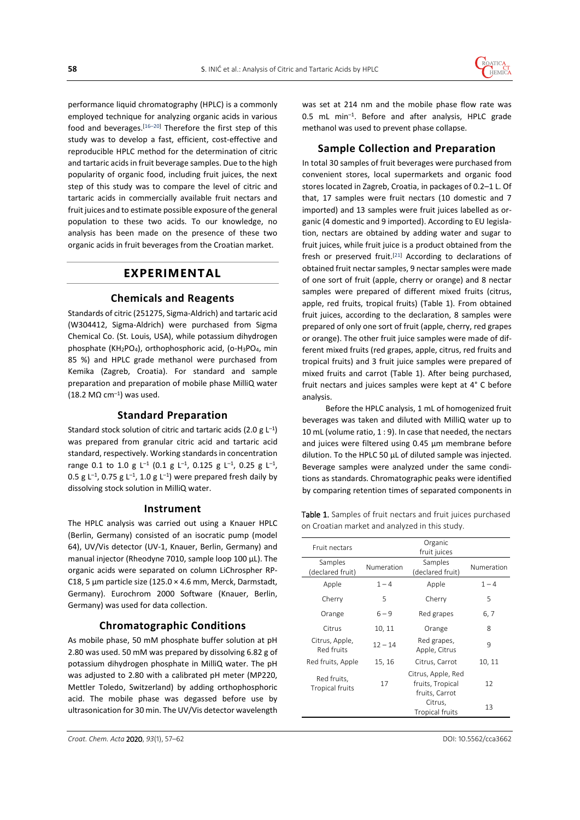

performance liquid chromatography (HPLC) is a commonly employed technique for analyzing organic acids in various food and beverages.  $[16-20]$  Therefore the first step of this study was to develop a fast, efficient, cost-effective and reproducible HPLC method for the determination of citric and tartaric acids in fruit beverage samples. Due to the high popularity of organic food, including fruit juices, the next step of this study was to compare the level of citric and tartaric acids in commercially available fruit nectars and fruit juices and to estimate possible exposure of the general population to these two acids. To our knowledge, no analysis has been made on the presence of these two organic acids in fruit beverages from the Croatian market.

## **EXPERIMENTAL**

#### **Chemicals and Reagents**

Standards of citric (251275, Sigma-Aldrich) and tartaric acid (W304412, Sigma-Aldrich) were purchased from Sigma Chemical Co. (St. Louis, USA), while potassium dihydrogen phosphate (KH<sub>2</sub>PO<sub>4</sub>), orthophosphoric acid, (o-H<sub>3</sub>PO<sub>4</sub>, min 85 %) and HPLC grade methanol were purchased from Kemika (Zagreb, Croatia). For standard and sample preparation and preparation of mobile phase MilliQ water (18.2 M $\Omega$  cm<sup>-1</sup>) was used.

#### **Standard Preparation**

Standard stock solution of citric and tartaric acids (2.0 g  $L^{-1}$ ) was prepared from granular citric acid and tartaric acid standard, respectively. Working standards in concentration range 0.1 to 1.0 g  $L^{-1}$  (0.1 g  $L^{-1}$ , 0.125 g  $L^{-1}$ , 0.25 g  $L^{-1}$ , 0.5 g L<sup>-1</sup>, 0.75 g L<sup>-1</sup>, 1.0 g L<sup>-1</sup>) were prepared fresh daily by dissolving stock solution in MilliQ water.

#### **Instrument**

The HPLC analysis was carried out using a Knauer HPLC (Berlin, Germany) consisted of an isocratic pump (model 64), UV/Vis detector (UV-1, Knauer, Berlin, Germany) and manual injector (Rheodyne 7010, sample loop 100 μL). The organic acids were separated on column LiChrospher RP-C18, 5 μm particle size (125.0 × 4.6 mm, Merck, Darmstadt, Germany). Eurochrom 2000 Software (Knauer, Berlin, Germany) was used for data collection.

#### **Chromatographic Conditions**

As mobile phase, 50 mM phosphate buffer solution at pH 2.80 was used. 50 mM was prepared by dissolving 6.82 g of potassium dihydrogen phosphate in MilliQ water. The pH was adjusted to 2.80 with a calibrated pH meter (MP220, Mettler Toledo, Switzerland) by adding orthophosphoric acid. The mobile phase was degassed before use by ultrasonication for 30 min. The UV/Vis detector wavelength

*Croat. Chem. Acta* 2020, *93*(1), 57–62 DOI: 10.5562/cca3662

was set at 214 nm and the mobile phase flow rate was 0.5 mL min–1. Before and after analysis, HPLC grade methanol was used to prevent phase collapse.

#### **Sample Collection and Preparation**

In total 30 samples of fruit beverages were purchased from convenient stores, local supermarkets and organic food stores located in Zagreb, Croatia, in packages of 0.2–1 L. Of that, 17 samples were fruit nectars (10 domestic and 7 imported) and 13 samples were fruit juices labelled as organic (4 domestic and 9 imported). According to EU legislation, nectars are obtained by adding water and sugar to fruit juices, while fruit juice is a product obtained from the fresh or preserved fruit[.\[21\]](#page-5-8) According to declarations of obtained fruit nectar samples, 9 nectar samples were made of one sort of fruit (apple, cherry or orange) and 8 nectar samples were prepared of different mixed fruits (citrus, apple, red fruits, tropical fruits) (Table 1). From obtained fruit juices, according to the declaration, 8 samples were prepared of only one sort of fruit (apple, cherry, red grapes or orange). The other fruit juice samples were made of different mixed fruits (red grapes, apple, citrus, red fruits and tropical fruits) and 3 fruit juice samples were prepared of mixed fruits and carrot (Table 1). After being purchased, fruit nectars and juices samples were kept at 4° C before analysis.

Before the HPLC analysis, 1 mL of homogenized fruit beverages was taken and diluted with MilliQ water up to 10 mL (volume ratio, 1 : 9). In case that needed, the nectars and juices were filtered using 0.45 um membrane before dilution. To the HPLC 50 μL of diluted sample was injected. Beverage samples were analyzed under the same conditions as standards. Chromatographic peaks were identified by comparing retention times of separated components in

Table 1. Samples of fruit nectars and fruit juices purchased on Croatian market and analyzed in this study.

| Fruit nectars                  |            | Organic<br>fruit juices                                  |            |
|--------------------------------|------------|----------------------------------------------------------|------------|
| Samples<br>(declared fruit)    | Numeration | Samples<br>(declared fruit)                              | Numeration |
| Apple                          | $1 - 4$    | Apple                                                    | $1 - 4$    |
| Cherry                         | 5          | Cherry                                                   | 5          |
| Orange                         | $6 - 9$    | Red grapes                                               | 6, 7       |
| Citrus                         | 10, 11     | Orange                                                   | 8          |
| Citrus, Apple,<br>Red fruits   | $12 - 14$  | Red grapes,<br>Apple, Citrus                             | 9          |
| Red fruits, Apple              | 15, 16     | Citrus, Carrot                                           | 10, 11     |
| Red fruits,<br>Tropical fruits | 17         | Citrus, Apple, Red<br>fruits, Tropical<br>fruits, Carrot | 12         |
|                                |            | Citrus,<br><b>Tropical fruits</b>                        | 13         |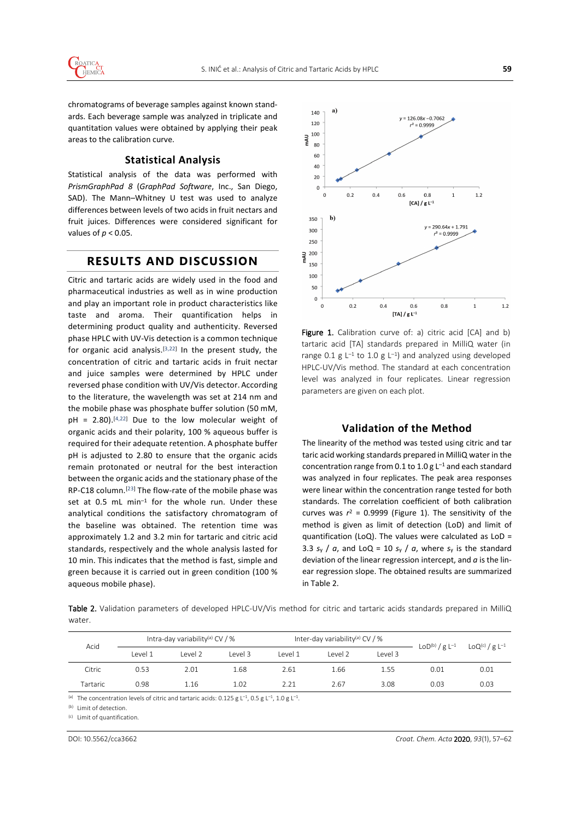

chromatograms of beverage samples against known standards. Each beverage sample was analyzed in triplicate and quantitation values were obtained by applying their peak areas to the calibration curve.

### **Statistical Analysis**

Statistical analysis of the data was performed with *PrismGraphPad 8* (*GraphPad Software*, Inc., San Diego, SAD). The Mann–Whitney U test was used to analyze differences between levels of two acids in fruit nectars and fruit juices. Differences were considered significant for values of *p* < 0.05.

## **RESULTS AND DISCUSSION**

Citric and tartaric acids are widely used in the food and pharmaceutical industries as well as in wine production and play an important role in product characteristics like taste and aroma. Their quantification helps in determining product quality and authenticity. Reversed phase HPLC with UV-Vis detection is a common technique for organic acid analysis.<sup>[3,22]</sup> In the present study, the concentration of citric and tartaric acids in fruit nectar and juice samples were determined by HPLC under reversed phase condition with UV/Vis detector. According to the literature, the wavelength was set at 214 nm and the mobile phase was phosphate buffer solution (50 mM,  $pH = 2.80$ ).<sup>[4,22]</sup> Due to the low molecular weight of organic acids and their polarity, 100 % aqueous buffer is required for their adequate retention. A phosphate buffer pH is adjusted to 2.80 to ensure that the organic acids remain protonated or neutral for the best interaction between the organic acids and the stationary phase of the RP-C18 column[.\[23\]](#page-5-9) The flow-rate of the mobile phase was set at 0.5 mL min<sup>-1</sup> for the whole run. Under these analytical conditions the satisfactory chromatogram of the baseline was obtained. The retention time was approximately 1.2 and 3.2 min for tartaric and citric acid standards, respectively and the whole analysis lasted for 10 min. This indicates that the method is fast, simple and green because it is carried out in green condition (100 % aqueous mobile phase).



Figure 1. Calibration curve of: a) citric acid [CA] and b) tartaric acid [TA] standards prepared in MilliQ water (in range 0.1 g  $L^{-1}$  to 1.0 g  $L^{-1}$ ) and analyzed using developed HPLC-UV/Vis method. The standard at each concentration level was analyzed in four replicates. Linear regression parameters are given on each plot.

#### **Validation of the Method**

The linearity of the method was tested using citric and tar taric acid working standards prepared in MilliQ water in the concentration range from  $0.1$  to  $1.0$  g  $L^{-1}$  and each standard was analyzed in four replicates. The peak area responses were linear within the concentration range tested for both standards. The correlation coefficient of both calibration curves was  $r^2$  = 0.9999 (Figure 1). The sensitivity of the method is given as limit of detection (LoD) and limit of quantification (LoQ). The values were calculated as LoD = 3.3  $s_y$  /  $a$ , and LoQ = 10  $s_y$  /  $a$ , where  $s_y$  is the standard deviation of the linear regression intercept, and *a* is the linear regression slope. The obtained results are summarized in Table 2.

Table 2. Validation parameters of developed HPLC-UV/Vis method for citric and tartaric acids standards prepared in MilliQ water.

| Acid     |          | Intra-day variability <sup>(a)</sup> CV / $%$ |          |          | Inter-day variability <sup>(a)</sup> CV / % |          |                                        |                                                   |
|----------|----------|-----------------------------------------------|----------|----------|---------------------------------------------|----------|----------------------------------------|---------------------------------------------------|
|          | l evel 1 | l evel 2                                      | l evel 3 | l evel 1 | Level 2                                     | I evel 3 | LoD <sup>(b)</sup> / g L <sup>-1</sup> | $\mathsf{LOQ}^\mathsf{(c)}$ / g $\mathsf{L}^{-1}$ |
| Citric   | 0.53     | 2.01                                          | 1.68     | 2.61     | 1.66                                        | 1.55     | 0.01                                   | 0.01                                              |
| Tartaric | 0.98     | 1.16                                          | 1.02     | 2.21     | 2.67                                        | 3.08     | 0.03                                   | 0.03                                              |

(b) Limit of detection.

(c) Limit of quantification.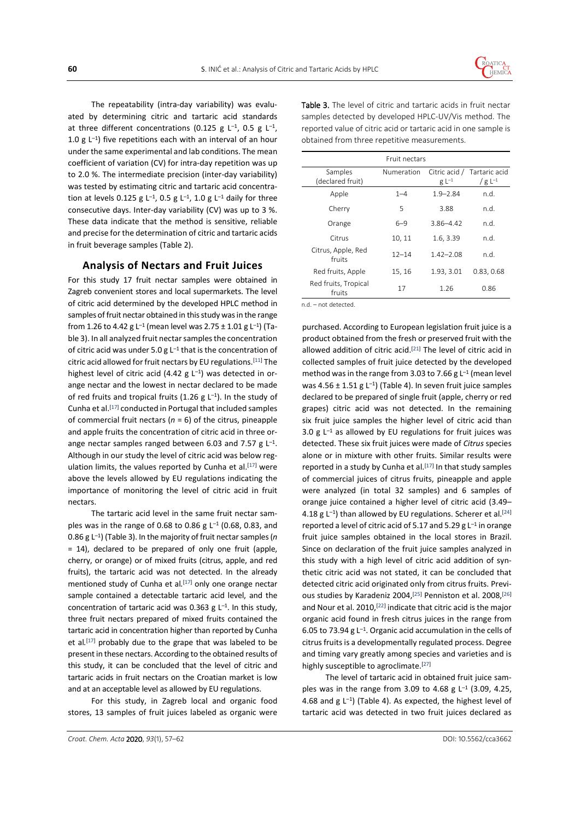

The repeatability (intra-day variability) was evaluated by determining citric and tartaric acid standards at three different concentrations (0.125 g  $L^{-1}$ , 0.5 g  $L^{-1}$ , 1.0 g  $L^{-1}$ ) five repetitions each with an interval of an hour under the same experimental and lab conditions. The mean coefficient of variation (CV) for intra-day repetition was up to 2.0 %. The intermediate precision (inter-day variability) was tested by estimating citric and tartaric acid concentration at levels 0.125 g  $L^{-1}$ , 0.5 g  $L^{-1}$ , 1.0 g  $L^{-1}$  daily for three consecutive days. Inter-day variability (CV) was up to 3 %. These data indicate that the method is sensitive, reliable and precise for the determination of citric and tartaric acids in fruit beverage samples (Table 2).

#### **Analysis of Nectars and Fruit Juices**

For this study 17 fruit nectar samples were obtained in Zagreb convenient stores and local supermarkets. The level of citric acid determined by the developed HPLC method in samples of fruit nectar obtained in this study was in the range from 1.26 to 4.42 g  $L^{-1}$  (mean level was 2.75 ± 1.01 g  $L^{-1}$ ) (Table 3). In all analyzed fruit nectar samples the concentration of citric acid was under 5.0 g  $L^{-1}$  that is the concentration of citric acid allowed for fruit nectars by EU regulations[.\[11\]](#page-5-4) The highest level of citric acid (4.42 g  $L^{-1}$ ) was detected in orange nectar and the lowest in nectar declared to be made of red fruits and tropical fruits (1.26 g  $L^{-1}$ ). In the study of Cunha et a[l.\[17\]](#page-5-10) conducted in Portugal that included samples of commercial fruit nectars (*n* = 6) of the citrus, pineapple and apple fruits the concentration of citric acid in three orange nectar samples ranged between 6.03 and 7.57  $g L^{-1}$ . Although in our study the level of citric acid was below regulation limits, the values reported by Cunha et al.<sup>[17]</sup> were above the levels allowed by EU regulations indicating the importance of monitoring the level of citric acid in fruit nectars.

The tartaric acid level in the same fruit nectar samples was in the range of 0.68 to 0.86 g  $L^{-1}$  (0.68, 0.83, and 0.86 g L–1) (Table 3). In the majority of fruit nectar samples (*n*  = 14), declared to be prepared of only one fruit (apple, cherry, or orange) or of mixed fruits (citrus, apple, and red fruits), the tartaric acid was not detected. In the already mentioned study of Cunha et al*.* [\[17\]](#page-5-10) only one orange nectar sample contained a detectable tartaric acid level, and the concentration of tartaric acid was 0.363 g  $L^{-1}$ . In this study, three fruit nectars prepared of mixed fruits contained the tartaric acid in concentration higher than reported by Cunha et al*.* [\[17\]](#page-5-10) probably due to the grape that was labeled to be present in these nectars. According to the obtained results of this study, it can be concluded that the level of citric and tartaric acids in fruit nectars on the Croatian market is low and at an acceptable level as allowed by EU regulations.

For this study, in Zagreb local and organic food stores, 13 samples of fruit juices labeled as organic were Table 3. The level of citric and tartaric acids in fruit nectar samples detected by developed HPLC-UV/Vis method. The reported value of citric acid or tartaric acid in one sample is obtained from three repetitive measurements.

| Fruit nectars                  |            |                  |                                              |  |
|--------------------------------|------------|------------------|----------------------------------------------|--|
| Samples<br>(declared fruit)    | Numeration | $g \lfloor^{-1}$ | Citric acid / Tartaric acid<br>/ g L $^{-1}$ |  |
| Apple                          | $1 - 4$    | $1.9 - 2.84$     | n.d.                                         |  |
| Cherry                         | 5          | 3.88             | n.d.                                         |  |
| Orange                         | $6 - 9$    | 3.86-4.42        | n.d.                                         |  |
| Citrus                         | 10, 11     | 1.6, 3.39        | n d                                          |  |
| Citrus, Apple, Red<br>fruits   | $12 - 14$  | $142 - 208$      | n d                                          |  |
| Red fruits, Apple              | 15, 16     | 1.93, 3.01       | 0.83.0.68                                    |  |
| Red fruits, Tropical<br>fruits | 17         | 1.26             | 0.86                                         |  |

n.d. – not detected.

purchased. According to European legislation fruit juice is a product obtained from the fresh or preserved fruit with the allowed addition of citric acid.<sup>[21]</sup> The level of citric acid in collected samples of fruit juice detected by the developed method was in the range from 3.03 to 7.66 g  $L^{-1}$  (mean level was 4.56  $\pm$  1.51 g L<sup>-1</sup>) (Table 4). In seven fruit juice samples declared to be prepared of single fruit (apple, cherry or red grapes) citric acid was not detected. In the remaining six fruit juice samples the higher level of citric acid than 3.0 g  $L^{-1}$  as allowed by EU regulations for fruit juices was detected. These six fruit juices were made of *Citrus* species alone or in mixture with other fruits. Similar results were reported in a study by Cunha et al.<sup>[17]</sup> In that study samples of commercial juices of citrus fruits, pineapple and apple were analyzed (in total 32 samples) and 6 samples of orange juice contained a higher level of citric acid (3.49– 4.18 g  $L^{-1}$ ) than allowed by EU regulations. Scherer et al.<sup>[24]</sup> reported a level of citric acid of 5.17 and 5.29 g L<sup>-1</sup> in orange fruit juice samples obtained in the local stores in Brazil. Since on declaration of the fruit juice samples analyzed in this study with a high level of citric acid addition of synthetic citric acid was not stated, it can be concluded that detected citric acid originated only from citrus fruits. Previ-ous studies by Karadeniz 2004,<sup>[\[25\]](#page-5-12)</sup> Penniston et al. 2008,<sup>[\[26\]](#page-5-13)</sup> and Nour et al. 2010, [\[22\]](#page-5-14) indicate that citric acid is the major organic acid found in fresh citrus juices in the range from 6.05 to 73.94 g L–1. Organic acid accumulation in the cells of citrus fruits is a developmentally regulated process. Degree and timing vary greatly among species and varieties and is highly susceptible to agroclimate[.\[27\]](#page-5-15)

The level of tartaric acid in obtained fruit juice samples was in the range from 3.09 to 4.68 g  $L^{-1}$  (3.09, 4.25, 4.68 and  $g L^{-1}$ ) (Table 4). As expected, the highest level of tartaric acid was detected in two fruit juices declared as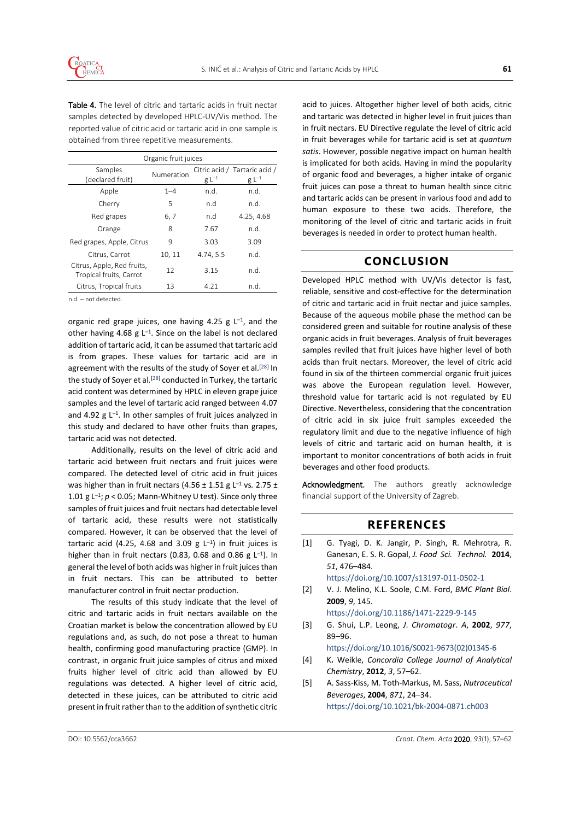Table 4. The level of citric and tartaric acids in fruit nectar samples detected by developed HPLC-UV/Vis method. The reported value of citric acid or tartaric acid in one sample is obtained from three repetitive measurements.

| Organic fruit juices                                  |            |                    |                                                      |  |
|-------------------------------------------------------|------------|--------------------|------------------------------------------------------|--|
| Samples<br>(declared fruit)                           | Numeration | $g\mathsf{L}^{-1}$ | Citric acid / Tartaric acid /<br>g $\mathsf{L}^{-1}$ |  |
| Apple                                                 | $1 - 4$    | n.d.               | n.d.                                                 |  |
| Cherry                                                | 5          | n.d                | n.d.                                                 |  |
| Red grapes                                            | 6, 7       | n.d                | 4.25, 4.68                                           |  |
| Orange                                                | 8          | 7.67               | n.d.                                                 |  |
| Red grapes, Apple, Citrus                             | 9          | 3.03               | 3.09                                                 |  |
| Citrus, Carrot                                        | 10, 11     | 4.74, 5.5          | n.d.                                                 |  |
| Citrus, Apple, Red fruits,<br>Tropical fruits, Carrot | 12         | 3.15               | n.d.                                                 |  |
| Citrus, Tropical fruits                               | 13         | 4.21               | n.d.                                                 |  |

n.d. – not detected.

organic red grape juices, one having 4.25 g  $L^{-1}$ , and the other having 4.68 g  $L^{-1}$ . Since on the label is not declared addition of tartaric acid, it can be assumed that tartaric acid is from grapes. These values for tartaric acid are in agreement with the results of the study of Soyer et al.<sup>[28]</sup> In the study of Soyer et al.<sup>[\[28\]](#page-5-16)</sup> conducted in Turkey, the tartaric acid content was determined by HPLC in eleven grape juice samples and the level of tartaric acid ranged between 4.07 and 4.92  $g$  L<sup>-1</sup>. In other samples of fruit juices analyzed in this study and declared to have other fruits than grapes, tartaric acid was not detected.

Additionally, results on the level of citric acid and tartaric acid between fruit nectars and fruit juices were compared. The detected level of citric acid in fruit juices was higher than in fruit nectars (4.56 ± 1.51 g L<sup>-1</sup> vs. 2.75 ± 1.01 g L–1; *p* < 0.05; Mann-Whitney U test). Since only three samples of fruit juices and fruit nectars had detectable level of tartaric acid, these results were not statistically compared. However, it can be observed that the level of tartaric acid (4.25, 4.68 and 3.09 g  $L^{-1}$ ) in fruit juices is higher than in fruit nectars (0.83, 0.68 and 0.86 g  $L^{-1}$ ). In general the level of both acids was higher in fruit juices than in fruit nectars. This can be attributed to better manufacturer control in fruit nectar production.

The results of this study indicate that the level of citric and tartaric acids in fruit nectars available on the Croatian market is below the concentration allowed by EU regulations and, as such, do not pose a threat to human health, confirming good manufacturing practice (GMP). In contrast, in organic fruit juice samples of citrus and mixed fruits higher level of citric acid than allowed by EU regulations was detected. A higher level of citric acid, detected in these juices, can be attributed to citric acid present in fruit rather than to the addition of synthetic citric

acid to juices. Altogether higher level of both acids, citric and tartaric was detected in higher level in fruit juices than in fruit nectars. EU Directive regulate the level of citric acid in fruit beverages while for tartaric acid is set at *quantum satis*. However, possible negative impact on human health is implicated for both acids. Having in mind the popularity of organic food and beverages, a higher intake of organic fruit juices can pose a threat to human health since citric and tartaric acids can be present in various food and add to human exposure to these two acids. Therefore, the monitoring of the level of citric and tartaric acids in fruit beverages is needed in order to protect human health.

## **CONCLUSION**

Developed HPLC method with UV/Vis detector is fast, reliable, sensitive and cost-effective for the determination of citric and tartaric acid in fruit nectar and juice samples. Because of the aqueous mobile phase the method can be considered green and suitable for routine analysis of these organic acids in fruit [beverages.](https://en.wikipedia.org/wiki/Beverage_industry) Analysis of fruit beverages samples reviled that fruit juices have higher level of both acids than fruit nectars. Moreover, the level of citric acid found in six of the thirteen commercial organic fruit juices was above the European regulation level. However, threshold value for tartaric acid is not regulated by EU Directive. Nevertheless, considering that the concentration of citric acid in six juice fruit samples exceeded the regulatory limit and due to the negative influence of high levels of citric and tartaric acid on human health, it is important to monitor concentrations of both acids in fruit beverages and other food products.

Acknowledgment. The authors greatly acknowledge financial support of the University of Zagreb.

## **REFERENCES**

- <span id="page-4-0"></span>[1] G. Tyagi, D. K. Jangir, P. Singh, R. Mehrotra, R. Ganesan, E. S. R. Gopal, *J. Food Sci. Technol.* **2014**, *51*, 476–484. <https://doi.org/10.1007/s13197-011-0502-1>
- <span id="page-4-1"></span>[2] V. J. Melino, K.L. Soole, C.M. Ford, *BMC Plant Biol*. **2009**, *9*, 145.

<https://doi.org/10.1186/1471-2229-9-145>

<span id="page-4-2"></span>[3] G. Shui, L.P. Leong, *J*. *Chromatogr*. *A*, **2002**, *977*, 89–96.

[https://doi.org/10.1016/S0021-9673\(02\)01345-6](https://doi.org/10.1016/S0021-9673(02)01345-6)

- <span id="page-4-3"></span>[4] K**.** Weikle, *Concordia College Journal of Analytical Chemistry*, **2012**, *3*, 57–62.
- <span id="page-4-4"></span>[5] A. Sass-Kiss, M. Toth-Markus, M. Sass, *Nutraceutical Beverages*, **2004**, *871*, 24–34. <https://doi.org/10.1021/bk-2004-0871.ch003>